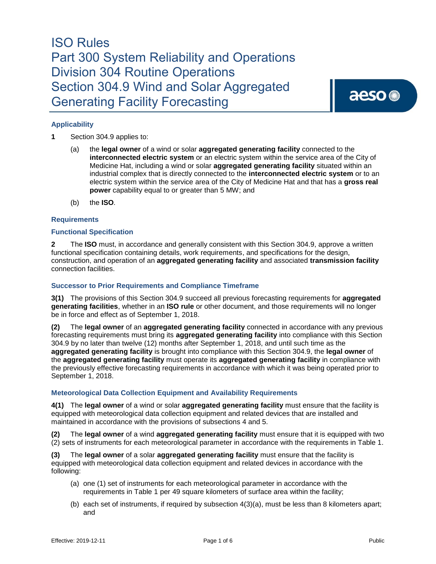

### **Applicability**

- **1** Section 304.9 applies to:
	- (a) the **legal owner** of a wind or solar **aggregated generating facility** connected to the **interconnected electric system** or an electric system within the service area of the City of Medicine Hat, including a wind or solar **aggregated generating facility** situated within an industrial complex that is directly connected to the **interconnected electric system** or to an electric system within the service area of the City of Medicine Hat and that has a **gross real power** capability equal to or greater than 5 MW; and
	- (b) the **ISO***.*

### **Requirements**

#### **Functional Specification**

**2** The **ISO** must, in accordance and generally consistent with this Section 304.9, approve a written functional specification containing details, work requirements, and specifications for the design, construction, and operation of an **aggregated generating facility** and associated **transmission facility**  connection facilities.

### **Successor to Prior Requirements and Compliance Timeframe**

**3(1)** The provisions of this Section 304.9 succeed all previous forecasting requirements for **aggregated generating facilities**, whether in an **ISO rule** or other document, and those requirements will no longer be in force and effect as of September 1, 2018.

**(2)** The **legal owner** of an **aggregated generating facility** connected in accordance with any previous forecasting requirements must bring its **aggregated generating facility** into compliance with this Section 304.9 by no later than twelve (12) months after September 1, 2018, and until such time as the **aggregated generating facility** is brought into compliance with this Section 304.9, the **legal owner** of the **aggregated generating facility** must operate its **aggregated generating facility** in compliance with the previously effective forecasting requirements in accordance with which it was being operated prior to September 1, 2018.

### **Meteorological Data Collection Equipment and Availability Requirements**

**4(1)** The **legal owner** of a wind or solar **aggregated generating facility** must ensure that the facility is equipped with meteorological data collection equipment and related devices that are installed and maintained in accordance with the provisions of subsections 4 and 5.

**(2)** The **legal owner** of a wind **aggregated generating facility** must ensure that it is equipped with two (2) sets of instruments for each meteorological parameter in accordance with the requirements in Table 1.

**(3)** The **legal owner** of a solar **aggregated generating facility** must ensure that the facility is equipped with meteorological data collection equipment and related devices in accordance with the following:

- (a) one (1) set of instruments for each meteorological parameter in accordance with the requirements in Table 1 per 49 square kilometers of surface area within the facility;
- (b) each set of instruments, if required by subsection 4(3)(a), must be less than 8 kilometers apart; and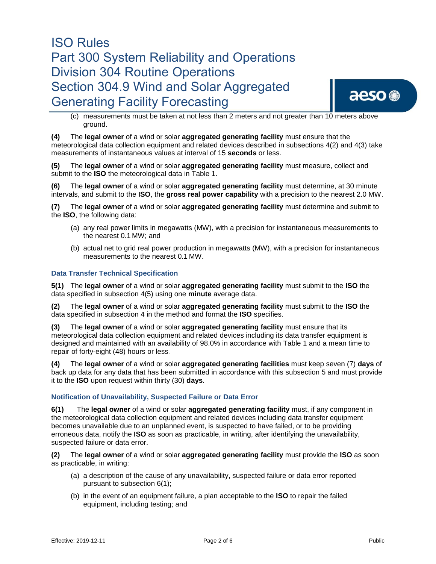

(c) measurements must be taken at not less than 2 meters and not greater than 10 meters above ground.

**(4)** The **legal owner** of a wind or solar **aggregated generating facility** must ensure that the meteorological data collection equipment and related devices described in subsections 4(2) and 4(3) take measurements of instantaneous values at interval of 15 **seconds** or less.

**(5)** The **legal owner** of a wind or solar **aggregated generating facility** must measure, collect and submit to the **ISO** the meteorological data in Table 1.

**(6)** The **legal owner** of a wind or solar **aggregated generating facility** must determine, at 30 minute intervals, and submit to the **ISO**, the **gross real power capability** with a precision to the nearest 2.0 MW.

**(7)** The **legal owner** of a wind or solar **aggregated generating facility** must determine and submit to the **ISO**, the following data:

- (a) any real power limits in megawatts (MW), with a precision for instantaneous measurements to the nearest 0.1 MW; and
- (b) actual net to grid real power production in megawatts (MW), with a precision for instantaneous measurements to the nearest 0.1 MW.

### **Data Transfer Technical Specification**

**5(1)** The **legal owner** of a wind or solar **aggregated generating facility** must submit to the **ISO** the data specified in subsection 4(5) using one **minute** average data.

**(2)** The **legal owner** of a wind or solar **aggregated generating facility** must submit to the **ISO** the data specified in subsection 4 in the method and format the **ISO** specifies.

**(3)** The **legal owner** of a wind or solar **aggregated generating facility** must ensure that its meteorological data collection equipment and related devices including its data transfer equipment is designed and maintained with an availability of 98.0% in accordance with Table 1 and a mean time to repair of forty-eight (48) hours or less.

**(4)** The **legal owner** of a wind or solar **aggregated generating facilities** must keep seven (7) **days** of back up data for any data that has been submitted in accordance with this subsection 5 and must provide it to the **ISO** upon request within thirty (30) **days**.

#### **Notification of Unavailability, Suspected Failure or Data Error**

**6(1)** The **legal owner** of a wind or solar **aggregated generating facility** must, if any component in the meteorological data collection equipment and related devices including data transfer equipment becomes unavailable due to an unplanned event, is suspected to have failed, or to be providing erroneous data, notify the **ISO** as soon as practicable, in writing, after identifying the unavailability, suspected failure or data error.

**(2)** The **legal owner** of a wind or solar **aggregated generating facility** must provide the **ISO** as soon as practicable, in writing:

- (a) a description of the cause of any unavailability, suspected failure or data error reported pursuant to subsection 6(1);
- (b) in the event of an equipment failure, a plan acceptable to the **ISO** to repair the failed equipment, including testing; and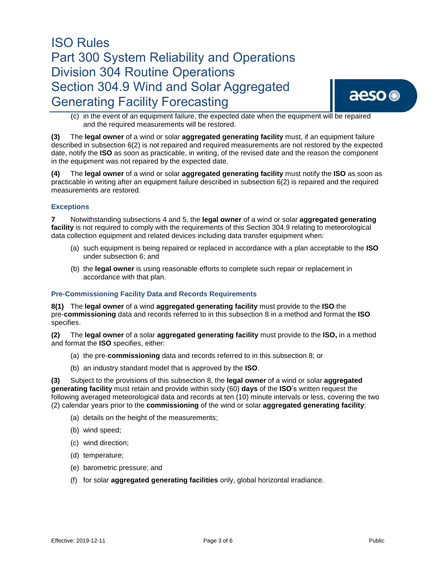

(c) in the event of an equipment failure, the expected date when the equipment will be repaired and the required measurements will be restored.

**(3)** The **legal owner** of a wind or solar **aggregated generating facility** must, if an equipment failure described in subsection 6(2) is not repaired and required measurements are not restored by the expected date, notify the **ISO** as soon as practicable, in writing, of the revised date and the reason the component in the equipment was not repaired by the expected date.

**(4)** The **legal owner** of a wind or solar **aggregated generating facility** must notify the **ISO** as soon as practicable in writing after an equipment failure described in subsection 6(2) is repaired and the required measurements are restored.

### **Exceptions**

**7** Notwithstanding subsections 4 and 5, the **legal owner** of a wind or solar **aggregated generating facility** is not required to comply with the requirements of this Section 304.9 relating to meteorological data collection equipment and related devices including data transfer equipment when:

- (a) such equipment is being repaired or replaced in accordance with a plan acceptable to the **ISO** under subsection 6; and
- (b) the **legal owner** is using reasonable efforts to complete such repair or replacement in accordance with that plan.

### **Pre-Commissioning Facility Data and Records Requirements**

**8(1)** The **legal owner** of a wind **aggregated generating facility** must provide to the **ISO** the pre-**commissioning** data and records referred to in this subsection 8 in a method and format the **ISO** specifies.

**(2)** The **legal owner** of a solar **aggregated generating facility** must provide to the **ISO,** in a method and format the **ISO** specifies, either:

- (a) the pre-**commissioning** data and records referred to in this subsection 8; or
- (b) an industry standard model that is approved by the **ISO**.

**(3)** Subject to the provisions of this subsection 8, the **legal owner** of a wind or solar **aggregated generating facility** must retain and provide within sixty (60) **days** of the **ISO**'s written request the following averaged meteorological data and records at ten (10) minute intervals or less, covering the two (2) calendar years prior to the **commissioning** of the wind or solar **aggregated generating facility**:

- (a) details on the height of the measurements;
- (b) wind speed;
- (c) wind direction;
- (d) temperature;
- (e) barometric pressure; and
- (f) for solar **aggregated generating facilities** only, global horizontal irradiance.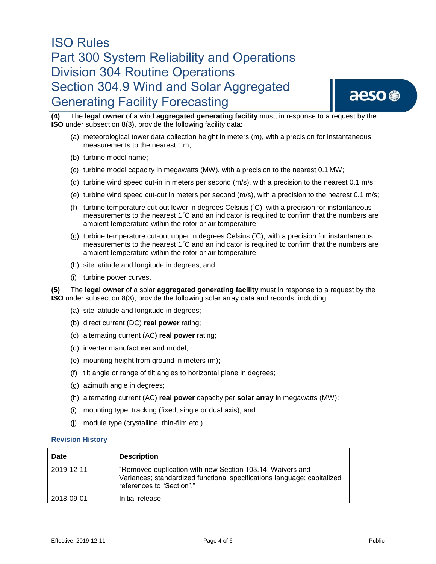

**(4)** The **legal owner** of a wind **aggregated generating facility** must, in response to a request by the **ISO** under subsection 8(3), provide the following facility data:

- (a) meteorological tower data collection height in meters (m), with a precision for instantaneous measurements to the nearest 1 m;
- (b) turbine model name;
- (c) turbine model capacity in megawatts (MW), with a precision to the nearest 0.1 MW;
- (d) turbine wind speed cut-in in meters per second (m/s), with a precision to the nearest 0.1 m/s;
- (e) turbine wind speed cut-out in meters per second (m/s), with a precision to the nearest 0.1 m/s;
- (f) turbine temperature cut-out lower in degrees Celsius (◦C), with a precision for instantaneous measurements to the nearest 1 °C and an indicator is required to confirm that the numbers are ambient temperature within the rotor or air temperature;
- (g) turbine temperature cut-out upper in degrees Celsius (◦C), with a precision for instantaneous measurements to the nearest 1 °C and an indicator is required to confirm that the numbers are ambient temperature within the rotor or air temperature;
- (h) site latitude and longitude in degrees; and
- (i) turbine power curves.

**(5)** The **legal owner** of a solar **aggregated generating facility** must in response to a request by the **ISO** under subsection 8(3), provide the following solar array data and records, including:

- (a) site latitude and longitude in degrees;
- (b) direct current (DC) **real power** rating;
- (c) alternating current (AC) **real power** rating;
- (d) inverter manufacturer and model;
- (e) mounting height from ground in meters (m);
- (f) tilt angle or range of tilt angles to horizontal plane in degrees;
- (g) azimuth angle in degrees;
- (h) alternating current (AC) **real power** capacity per **solar array** in megawatts (MW);
- (i) mounting type, tracking (fixed, single or dual axis); and
- (j) module type (crystalline, thin-film etc.).

#### **Revision History**

| Date       | <b>Description</b>                                                                                                                                                |
|------------|-------------------------------------------------------------------------------------------------------------------------------------------------------------------|
| 2019-12-11 | "Removed duplication with new Section 103.14, Waivers and<br>Variances; standardized functional specifications language; capitalized<br>references to "Section"." |
| 2018-09-01 | Initial release.                                                                                                                                                  |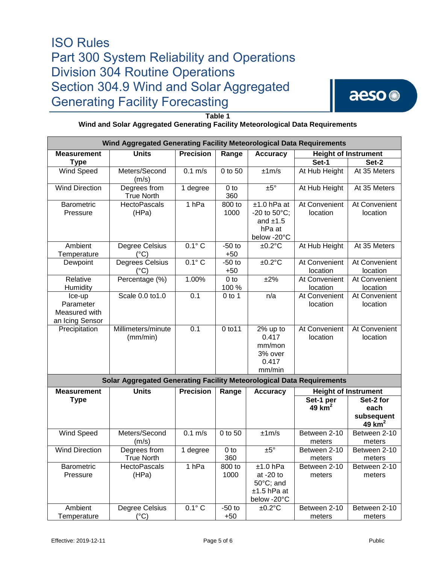

**Table 1**

### **Wind and Solar Aggregated Generating Facility Meteorological Data Requirements**

| Wind Aggregated Generating Facility Meteorological Data Requirements  |                                   |                  |                          |                                                                        |                             |                                             |  |  |  |  |
|-----------------------------------------------------------------------|-----------------------------------|------------------|--------------------------|------------------------------------------------------------------------|-----------------------------|---------------------------------------------|--|--|--|--|
| <b>Units</b><br><b>Precision</b><br><b>Measurement</b>                |                                   |                  | Range                    | <b>Accuracy</b>                                                        | <b>Height of Instrument</b> |                                             |  |  |  |  |
| <b>Type</b>                                                           |                                   |                  |                          |                                                                        | Set-1                       | Set-2                                       |  |  |  |  |
| <b>Wind Speed</b>                                                     | Meters/Second<br>(m/s)            | $0.1$ m/s        | 0 to 50                  | ±1m/s                                                                  | At Hub Height               | At 35 Meters                                |  |  |  |  |
| <b>Wind Direction</b>                                                 | Degrees from<br><b>True North</b> | 1 degree         | 0 <sub>to</sub><br>360   | ±5°                                                                    | At Hub Height               | At 35 Meters                                |  |  |  |  |
| <b>Barometric</b><br>Pressure                                         | <b>HectoPascals</b><br>(HPa)      | 1 <sub>hPa</sub> | 800 to<br>1000           | $±1.0$ hPa at<br>-20 to 50°C;<br>and $±1.5$<br>hPa at<br>below -20°C   | At Convenient<br>location   | At Convenient<br>location                   |  |  |  |  |
| Ambient<br>Temperature                                                | Degree Celsius<br>(°C)            | $0.1^\circ C$    | $-50$ to<br>$+50$        | $±0.2$ °C                                                              | At Hub Height               | At 35 Meters                                |  |  |  |  |
| Dewpoint                                                              | Degrees Celsius<br>$(^{\circ}C)$  | $0.1^\circ C$    | $-50$ to<br>$+50$        | $±0.2$ °C                                                              | At Convenient<br>location   | At Convenient<br>location                   |  |  |  |  |
| Relative<br>Humidity                                                  | Percentage (%)                    | 1.00%            | 0 <sub>to</sub><br>100 % | ±2%                                                                    | At Convenient<br>location   | At Convenient<br>location                   |  |  |  |  |
| Ice-up<br>Parameter<br>Measured with<br>an Icing Sensor               | Scale 0.0 to 1.0                  | 0.1              | $0$ to 1                 | n/a                                                                    | At Convenient<br>location   | At Convenient<br>location                   |  |  |  |  |
| Precipitation                                                         | Millimeters/minute<br>(mm/min)    | 0.1              | 0 to 11                  | 2% up to<br>0.417<br>mm/mon<br>3% over<br>0.417<br>mm/min              | At Convenient<br>location   | At Convenient<br>location                   |  |  |  |  |
| Solar Aggregated Generating Facility Meteorological Data Requirements |                                   |                  |                          |                                                                        |                             |                                             |  |  |  |  |
| <b>Measurement</b>                                                    | <b>Units</b>                      | <b>Precision</b> | Range                    | <b>Accuracy</b>                                                        | <b>Height of Instrument</b> |                                             |  |  |  |  |
| <b>Type</b>                                                           |                                   |                  |                          |                                                                        | Set-1 per<br>49 $km2$       | Set-2 for<br>each<br>subsequent<br>49 $km2$ |  |  |  |  |
| Wind Speed                                                            | Meters/Second<br>(m/s)            | $0.1$ m/s        | 0 to 50                  | ±1m/s                                                                  | Between 2-10<br>meters      | Between 2-10<br>meters                      |  |  |  |  |
| <b>Wind Direction</b>                                                 | Degrees from<br><b>True North</b> | 1 degree         | $0$ to<br>360            | $±5^{\circ}$                                                           | Between 2-10<br>meters      | Between 2-10<br>meters                      |  |  |  |  |
| Barometric<br>Pressure                                                | <b>HectoPascals</b><br>(HPa)      | 1 <sub>hPa</sub> | 800 to<br>1000           | $±1.0$ hPa<br>at $-20$ to<br>50°C; and<br>$±1.5$ hPa at<br>below -20°C | Between 2-10<br>meters      | Between 2-10<br>meters                      |  |  |  |  |
| Ambient<br>Temperature                                                | Degree Celsius<br>$(^{\circ}C)$   | $0.1^\circ C$    | $-50$ to<br>$+50$        | $±0.2$ °C                                                              | Between 2-10<br>meters      | Between 2-10<br>meters                      |  |  |  |  |